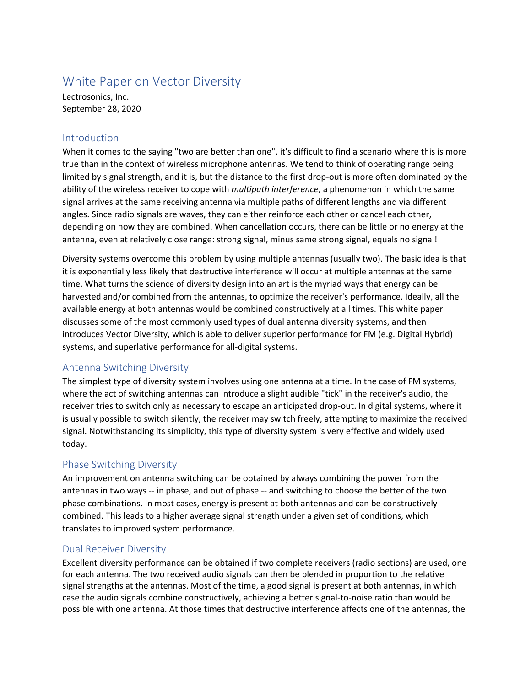# White Paper on Vector Diversity

Lectrosonics, Inc. September 28, 2020

#### Introduction

When it comes to the saying "two are better than one", it's difficult to find a scenario where this is more true than in the context of wireless microphone antennas. We tend to think of operating range being limited by signal strength, and it is, but the distance to the first drop-out is more often dominated by the ability of the wireless receiver to cope with *multipath interference*, a phenomenon in which the same signal arrives at the same receiving antenna via multiple paths of different lengths and via different angles. Since radio signals are waves, they can either reinforce each other or cancel each other, depending on how they are combined. When cancellation occurs, there can be little or no energy at the antenna, even at relatively close range: strong signal, minus same strong signal, equals no signal!

Diversity systems overcome this problem by using multiple antennas (usually two). The basic idea is that it is exponentially less likely that destructive interference will occur at multiple antennas at the same time. What turns the science of diversity design into an art is the myriad ways that energy can be harvested and/or combined from the antennas, to optimize the receiver's performance. Ideally, all the available energy at both antennas would be combined constructively at all times. This white paper discusses some of the most commonly used types of dual antenna diversity systems, and then introduces Vector Diversity, which is able to deliver superior performance for FM (e.g. Digital Hybrid) systems, and superlative performance for all-digital systems.

# Antenna Switching Diversity

The simplest type of diversity system involves using one antenna at a time. In the case of FM systems, where the act of switching antennas can introduce a slight audible "tick" in the receiver's audio, the receiver tries to switch only as necessary to escape an anticipated drop-out. In digital systems, where it is usually possible to switch silently, the receiver may switch freely, attempting to maximize the received signal. Notwithstanding its simplicity, this type of diversity system is very effective and widely used today.

# Phase Switching Diversity

An improvement on antenna switching can be obtained by always combining the power from the antennas in two ways -- in phase, and out of phase -- and switching to choose the better of the two phase combinations. In most cases, energy is present at both antennas and can be constructively combined. This leads to a higher average signal strength under a given set of conditions, which translates to improved system performance.

#### Dual Receiver Diversity

Excellent diversity performance can be obtained if two complete receivers (radio sections) are used, one for each antenna. The two received audio signals can then be blended in proportion to the relative signal strengths at the antennas. Most of the time, a good signal is present at both antennas, in which case the audio signals combine constructively, achieving a better signal-to-noise ratio than would be possible with one antenna. At those times that destructive interference affects one of the antennas, the